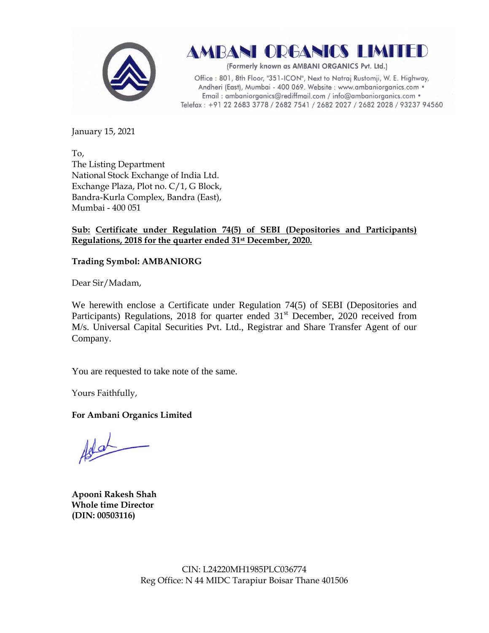

AMBANI ORGANICS LIMITED

(Formerly known as AMBANI ORGANICS Pvt. Ltd.)

Office: 801, 8th Floor, "351-ICON", Next to Natraj Rustomji, W. E. Highway, Andheri (East), Mumbai - 400 069. Website : www.ambaniorganics.com • Email: ambaniorganics@rediffmail.com / info@ambaniorganics.com . Telefax: +91 22 2683 3778 / 2682 7541 / 2682 2027 / 2682 2028 / 93237 94560

January 15, 2021

To, The Listing Department National Stock Exchange of India Ltd. Exchange Plaza, Plot no. C/1, G Block, Bandra-Kurla Complex, Bandra (East), Mumbai - 400 051

## **Sub: Certificate under Regulation 74(5) of SEBI (Depositories and Participants) Regulations, 2018 for the quarter ended 31st December, 2020.**

## **Trading Symbol: AMBANIORG**

Dear Sir/Madam,

We herewith enclose a Certificate under Regulation 74(5) of SEBI (Depositories and Participants) Regulations, 2018 for quarter ended 31<sup>st</sup> December, 2020 received from M/s. Universal Capital Securities Pvt. Ltd., Registrar and Share Transfer Agent of our Company.

You are requested to take note of the same.

Yours Faithfully,

**For Ambani Organics Limited**

**Apooni Rakesh Shah Whole time Director (DIN: [00503116\)](http://www.mca.gov.in/mcafoportal/companyLLPMasterData.do)**

CIN: L24220MH1985PLC036774 Reg Office: N 44 MIDC Tarapiur Boisar Thane 401506